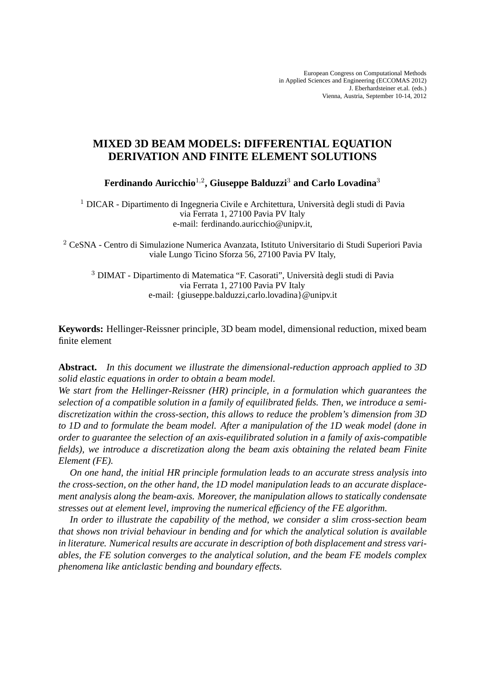# **MIXED 3D BEAM MODELS: DIFFERENTIAL EQUATION DERIVATION AND FINITE ELEMENT SOLUTIONS**

**Ferdinando Auricchio**<sup>1</sup>,<sup>2</sup> **, Giuseppe Balduzzi**<sup>3</sup> **and Carlo Lovadina**<sup>3</sup>

<sup>1</sup> DICAR - Dipartimento di Ingegneria Civile e Architettura, Università degli studi di Pavia via Ferrata 1, 27100 Pavia PV Italy e-mail: ferdinando.auricchio@unipv.it,

<sup>2</sup> CeSNA - Centro di Simulazione Numerica Avanzata, Istituto Universitario di Studi Superiori Pavia viale Lungo Ticino Sforza 56, 27100 Pavia PV Italy,

<sup>3</sup> DIMAT - Dipartimento di Matematica "F. Casorati", Università degli studi di Pavia via Ferrata 1, 27100 Pavia PV Italy e-mail: {giuseppe.balduzzi,carlo.lovadina}@unipv.it

**Keywords:** Hellinger-Reissner principle, 3D beam model, dimensional reduction, mixed beam finite element

**Abstract.** *In this document we illustrate the dimensional-reduction approach applied to 3D solid elastic equations in order to obtain a beam model.*

*We start from the Hellinger-Reissner (HR) principle, in a formulation which guarantees the selection of a compatible solution in a family of equilibrated fields. Then, we introduce a semidiscretization within the cross-section, this allows to reduce the problem's dimension from 3D to 1D and to formulate the beam model. After a manipulation of the 1D weak model (done in order to guarantee the selection of an axis-equilibrated solution in a family of axis-compatible fields), we introduce a discretization along the beam axis obtaining the related beam Finite Element (FE).*

*On one hand, the initial HR principle formulation leads to an accurate stress analysis into the cross-section, on the other hand, the 1D model manipulation leads to an accurate displacement analysis along the beam-axis. Moreover, the manipulation allows to statically condensate stresses out at element level, improving the numerical efficiency of the FE algorithm.*

*In order to illustrate the capability of the method, we consider a slim cross-section beam that shows non trivial behaviour in bending and for which the analytical solution is available in literature. Numerical results are accurate in description of both displacement and stress variables, the FE solution converges to the analytical solution, and the beam FE models complex phenomena like anticlastic bending and boundary effects.*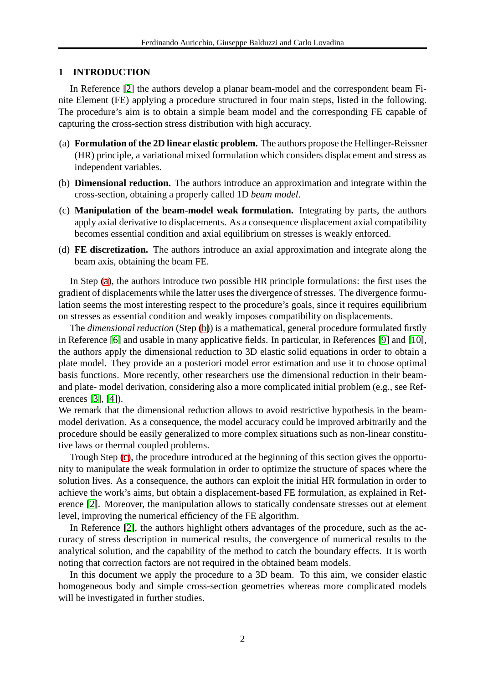## **1 INTRODUCTION**

In Reference [\[2\]](#page-10-0) the authors develop a planar beam-model and the correspondent beam Finite Element (FE) applying a procedure structured in four main steps, listed in the following. The procedure's aim is to obtain a simple beam model and the corresponding FE capable of capturing the cross-section stress distribution with high accuracy.

- <span id="page-1-0"></span>(a) **Formulation of the 2D linear elastic problem.** The authors propose the Hellinger-Reissner (HR) principle, a variational mixed formulation which considers displacement and stress as independent variables.
- <span id="page-1-2"></span><span id="page-1-1"></span>(b) **Dimensional reduction.** The authors introduce an approximation and integrate within the cross-section, obtaining a properly called 1D *beam model*.
- (c) **Manipulation of the beam-model weak formulation.** Integrating by parts, the authors apply axial derivative to displacements. As a consequence displacement axial compatibility becomes essential condition and axial equilibrium on stresses is weakly enforced.
- (d) **FE discretization.** The authors introduce an axial approximation and integrate along the beam axis, obtaining the beam FE.

In Step [\(a\)](#page-1-0), the authors introduce two possible HR principle formulations: the first uses the gradient of displacements while the latter uses the divergence of stresses. The divergence formulation seems the most interesting respect to the procedure's goals, since it requires equilibrium on stresses as essential condition and weakly imposes compatibility on displacements.

The *dimensional reduction* (Step [\(b\)](#page-1-1)) is a mathematical, general procedure formulated firstly in Reference [\[6\]](#page-10-1) and usable in many applicative fields. In particular, in References [\[9\]](#page-10-2) and [\[10\]](#page-10-3), the authors apply the dimensional reduction to 3D elastic solid equations in order to obtain a plate model. They provide an a posteriori model error estimation and use it to choose optimal basis functions. More recently, other researchers use the dimensional reduction in their beamand plate- model derivation, considering also a more complicated initial problem (e.g., see References [\[3\]](#page-10-4), [\[4\]](#page-10-5)).

We remark that the dimensional reduction allows to avoid restrictive hypothesis in the beammodel derivation. As a consequence, the model accuracy could be improved arbitrarily and the procedure should be easily generalized to more complex situations such as non-linear constitutive laws or thermal coupled problems.

Trough Step [\(c\)](#page-1-2), the procedure introduced at the beginning of this section gives the opportunity to manipulate the weak formulation in order to optimize the structure of spaces where the solution lives. As a consequence, the authors can exploit the initial HR formulation in order to achieve the work's aims, but obtain a displacement-based FE formulation, as explained in Reference [\[2\]](#page-10-0). Moreover, the manipulation allows to statically condensate stresses out at element level, improving the numerical efficiency of the FE algorithm.

In Reference [\[2\]](#page-10-0), the authors highlight others advantages of the procedure, such as the accuracy of stress description in numerical results, the convergence of numerical results to the analytical solution, and the capability of the method to catch the boundary effects. It is worth noting that correction factors are not required in the obtained beam models.

In this document we apply the procedure to a 3D beam. To this aim, we consider elastic homogeneous body and simple cross-section geometries whereas more complicated models will be investigated in further studies.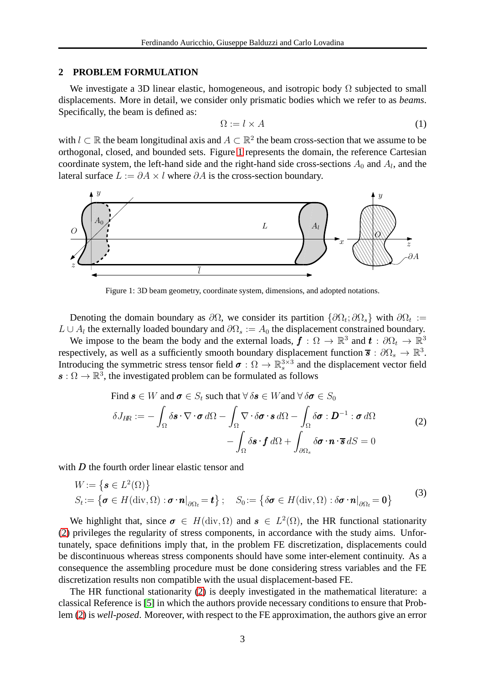#### **2 PROBLEM FORMULATION**

We investigate a 3D linear elastic, homogeneous, and isotropic body  $\Omega$  subjected to small displacements. More in detail, we consider only prismatic bodies which we refer to as *beams*. Specifically, the beam is defined as:

$$
\Omega := l \times A \tag{1}
$$

with  $l \subset \mathbb{R}$  the beam longitudinal axis and  $A \subset \mathbb{R}^2$  the beam cross-section that we assume to be orthogonal, closed, and bounded sets. Figure [1](#page-2-0) represents the domain, the reference Cartesian coordinate system, the left-hand side and the right-hand side cross-sections  $A_0$  and  $A_l$ , and the lateral surface  $L := \partial A \times l$  where  $\partial A$  is the cross-section boundary.



<span id="page-2-0"></span>Figure 1: 3D beam geometry, coordinate system, dimensions, and adopted notations.

Denoting the domain boundary as  $\partial\Omega$ , we consider its partition  $\{\partial\Omega_t, \partial\Omega_s\}$  with  $\partial\Omega_t :=$  $L \cup A_l$  the externally loaded boundary and  $\partial\Omega_s := A_0$  the displacement constrained boundary.

We impose to the beam the body and the external loads,  $\mathbf{f}: \Omega \to \mathbb{R}^3$  and  $\mathbf{t}: \partial \Omega_t \to \mathbb{R}^3$ respectively, as well as a sufficiently smooth boundary displacement function  $\bf{\bar{s}}$  :  $\partial\Omega_s \to \mathbb{R}^3$ . Introducing the symmetric stress tensor field  $\sigma : \Omega \to \mathbb{R}^{3 \times 3}_s$  and the displacement vector field  $\mathbf{s}: \Omega \to \mathbb{R}^3$ , the investigated problem can be formulated as follows

<span id="page-2-2"></span><span id="page-2-1"></span>Find 
$$
\mathbf{s} \in W
$$
 and  $\boldsymbol{\sigma} \in S_t$  such that  $\forall \delta \mathbf{s} \in W$  and  $\forall \delta \boldsymbol{\sigma} \in S_0$   
\n
$$
\delta J_{HR} := -\int_{\Omega} \delta \mathbf{s} \cdot \nabla \cdot \boldsymbol{\sigma} d\Omega - \int_{\Omega} \nabla \cdot \delta \boldsymbol{\sigma} \cdot \mathbf{s} d\Omega - \int_{\Omega} \delta \boldsymbol{\sigma} : \mathbf{D}^{-1} : \boldsymbol{\sigma} d\Omega
$$
\n
$$
- \int_{\Omega} \delta \mathbf{s} \cdot \mathbf{f} d\Omega + \int_{\partial \Omega_s} \delta \boldsymbol{\sigma} \cdot \mathbf{n} \cdot \overline{\mathbf{s}} dS = 0
$$
\n(2)

with  $D$  the fourth order linear elastic tensor and

$$
W := \left\{ \boldsymbol{s} \in L^{2}(\Omega) \right\}
$$
  
\n
$$
S_{t} := \left\{ \boldsymbol{\sigma} \in H(\text{div}, \Omega) : \boldsymbol{\sigma} \cdot \boldsymbol{n}|_{\partial \Omega_{t}} = \boldsymbol{t} \right\}; \quad S_{0} := \left\{ \delta \boldsymbol{\sigma} \in H(\text{div}, \Omega) : \delta \boldsymbol{\sigma} \cdot \boldsymbol{n}|_{\partial \Omega_{t}} = \boldsymbol{0} \right\}
$$
\n(3)

We highlight that, since  $\sigma \in H(\text{div}, \Omega)$  and  $s \in L^2(\Omega)$ , the HR functional stationarity [\(2\)](#page-2-1) privileges the regularity of stress components, in accordance with the study aims. Unfortunately, space definitions imply that, in the problem FE discretization, displacements could be discontinuous whereas stress components should have some inter-element continuity. As a consequence the assembling procedure must be done considering stress variables and the FE discretization results non compatible with the usual displacement-based FE.

The HR functional stationarity [\(2\)](#page-2-1) is deeply investigated in the mathematical literature: a classical Reference is [\[5\]](#page-10-6) in which the authors provide necessary conditions to ensure that Problem [\(2\)](#page-2-1) is *well-posed*. Moreover, with respect to the FE approximation, the authors give an error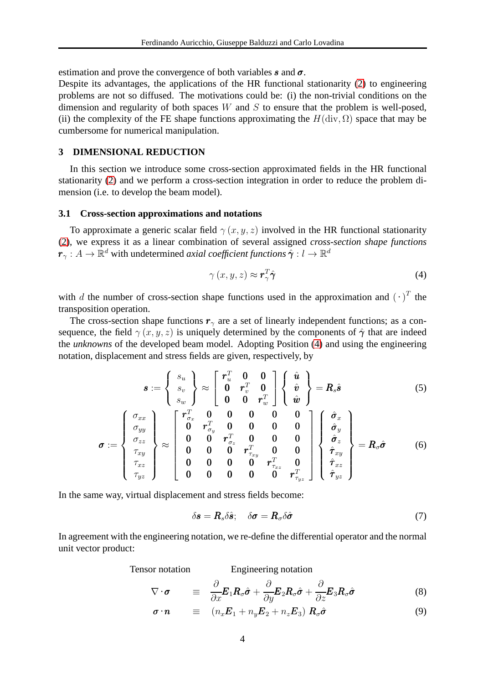estimation and prove the convergence of both variables s and  $\sigma$ .

Despite its advantages, the applications of the HR functional stationarity [\(2\)](#page-2-1) to engineering problems are not so diffused. The motivations could be: (i) the non-trivial conditions on the dimension and regularity of both spaces  $W$  and  $S$  to ensure that the problem is well-posed, (ii) the complexity of the FE shape functions approximating the  $H(\text{div}, \Omega)$  space that may be cumbersome for numerical manipulation.

#### **3 DIMENSIONAL REDUCTION**

In this section we introduce some cross-section approximated fields in the HR functional stationarity [\(2\)](#page-2-1) and we perform a cross-section integration in order to reduce the problem dimension (i.e. to develop the beam model).

#### **3.1 Cross-section approximations and notations**

To approximate a generic scalar field  $\gamma(x, y, z)$  involved in the HR functional stationarity [\(2\)](#page-2-1), we express it as a linear combination of several assigned *cross-section shape functions*  $\bm{r}_\gamma:A\to\bar{\mathbb{R}}^d$  with undetermined *axial coefficient functions*  $\hat{\bm{\gamma}}:l\to\mathbb{R}^d$ 

<span id="page-3-3"></span><span id="page-3-0"></span>
$$
\gamma(x, y, z) \approx r_{\gamma}^{T} \hat{\gamma}
$$
\n(4)

with d the number of cross-section shape functions used in the approximation and  $(\cdot)^T$  the transposition operation.

The cross-section shape functions  $r<sub>γ</sub>$  are a set of linearly independent functions; as a consequence, the field  $\gamma(x, y, z)$  is uniquely determined by the components of  $\hat{\gamma}$  that are indeed the *unknowns* of the developed beam model. Adopting Position [\(4\)](#page-3-0) and using the engineering notation, displacement and stress fields are given, respectively, by

$$
\boldsymbol{s} := \left\{ \begin{array}{c} s_u \\ s_v \\ s_w \end{array} \right\} \approx \left[ \begin{array}{ccc} \boldsymbol{r}_u^T & \boldsymbol{0} & \boldsymbol{0} \\ \boldsymbol{0} & \boldsymbol{r}_v^T & \boldsymbol{0} \\ \boldsymbol{0} & \boldsymbol{0} & \boldsymbol{r}_w^T \end{array} \right] \left\{ \begin{array}{c} \hat{\boldsymbol{u}} \\ \hat{\boldsymbol{v}} \\ \hat{\boldsymbol{w}} \end{array} \right\} = \boldsymbol{R}_s \hat{\boldsymbol{s}} \tag{5}
$$

$$
\sigma := \left\{ \begin{array}{c} \sigma_{xx} \\ \sigma_{yy} \\ \sigma_{zz} \\ \tau_{xy} \\ \tau_{xz} \\ \tau_{yz} \end{array} \right\} \approx \left\{ \begin{array}{ccc} r_{\sigma_x}^T & 0 & 0 & 0 & 0 & 0 \\ 0 & r_{\sigma_y}^T & 0 & 0 & 0 & 0 \\ 0 & 0 & r_{\sigma_z}^T & 0 & 0 & 0 \\ 0 & 0 & 0 & r_{\tau_{xy}}^T & 0 & 0 \\ 0 & 0 & 0 & 0 & r_{\tau_{xy}}^T & 0 \\ 0 & 0 & 0 & 0 & r_{\tau_{yz}}^T & 0 \\ 0 & 0 & 0 & 0 & r_{\tau_{yz}}^T \end{array} \right\} \left\{ \begin{array}{c} \hat{\sigma}_x \\ \hat{\sigma}_y \\ \hat{\sigma}_z \\ \hat{\tau}_{xy} \\ \hat{\tau}_{xz} \\ \hat{\tau}_{yz} \end{array} \right\} = R_{\sigma} \hat{\sigma} \qquad (6)
$$

In the same way, virtual displacement and stress fields become:

<span id="page-3-4"></span><span id="page-3-2"></span><span id="page-3-1"></span>
$$
\delta \boldsymbol{s} = \boldsymbol{R}_s \delta \hat{\boldsymbol{s}}; \quad \delta \boldsymbol{\sigma} = \boldsymbol{R}_\sigma \delta \hat{\boldsymbol{\sigma}} \tag{7}
$$

In agreement with the engineering notation, we re-define the differential operator and the normal unit vector product:

Tensor notation Engineering notation

$$
\nabla \cdot \boldsymbol{\sigma} = \frac{\partial}{\partial x} \boldsymbol{E}_1 \boldsymbol{R}_\sigma \hat{\boldsymbol{\sigma}} + \frac{\partial}{\partial y} \boldsymbol{E}_2 \boldsymbol{R}_\sigma \hat{\boldsymbol{\sigma}} + \frac{\partial}{\partial z} \boldsymbol{E}_3 \boldsymbol{R}_\sigma \hat{\boldsymbol{\sigma}}
$$
(8)

$$
\boldsymbol{\sigma} \cdot \boldsymbol{n} \quad \equiv \quad (n_x \boldsymbol{E}_1 + n_y \boldsymbol{E}_2 + n_z \boldsymbol{E}_3) \, \boldsymbol{R}_\sigma \hat{\boldsymbol{\sigma}} \tag{9}
$$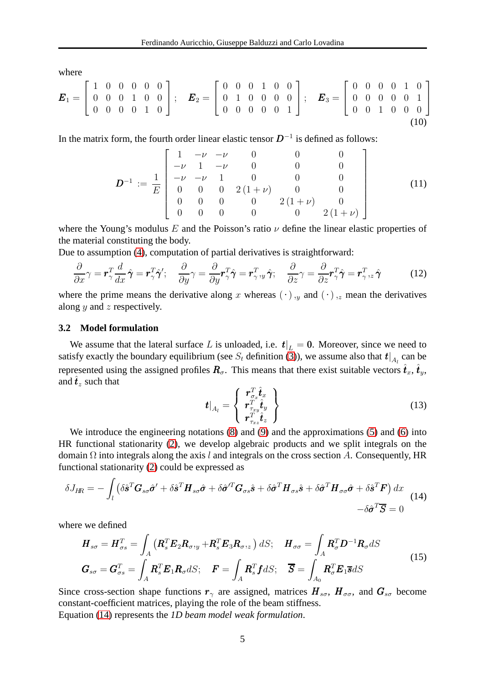where

$$
\boldsymbol{E}_1 = \begin{bmatrix} 1 & 0 & 0 & 0 & 0 & 0 \\ 0 & 0 & 0 & 1 & 0 & 0 \\ 0 & 0 & 0 & 0 & 1 & 0 \end{bmatrix}; \quad \boldsymbol{E}_2 = \begin{bmatrix} 0 & 0 & 0 & 1 & 0 & 0 \\ 0 & 1 & 0 & 0 & 0 & 0 \\ 0 & 0 & 0 & 0 & 0 & 1 \end{bmatrix}; \quad \boldsymbol{E}_3 = \begin{bmatrix} 0 & 0 & 0 & 0 & 1 & 0 \\ 0 & 0 & 0 & 0 & 0 & 1 \\ 0 & 0 & 1 & 0 & 0 & 0 \end{bmatrix}
$$
(10)

In the matrix form, the fourth order linear elastic tensor  $D^{-1}$  is defined as follows:

$$
\mathbf{D}^{-1} := \frac{1}{E} \begin{bmatrix} 1 & -\nu & -\nu & 0 & 0 & 0 \\ -\nu & 1 & -\nu & 0 & 0 & 0 \\ -\nu & -\nu & 1 & 0 & 0 & 0 \\ 0 & 0 & 0 & 2(1+\nu) & 0 & 0 \\ 0 & 0 & 0 & 0 & 2(1+\nu) & 0 \\ 0 & 0 & 0 & 0 & 0 & 2(1+\nu) \end{bmatrix}
$$
(11)

where the Young's modulus E and the Poisson's ratio  $\nu$  define the linear elastic properties of the material constituting the body.

Due to assumption [\(4\)](#page-3-0), computation of partial derivatives is straightforward:

$$
\frac{\partial}{\partial x}\gamma = \mathbf{r}_{\gamma}^T \frac{d}{dx} \hat{\boldsymbol{\gamma}} = \mathbf{r}_{\gamma}^T \hat{\boldsymbol{\gamma}}'; \quad \frac{\partial}{\partial y}\gamma = \frac{\partial}{\partial y}\mathbf{r}_{\gamma}^T \hat{\boldsymbol{\gamma}} = \mathbf{r}_{\gamma}^T, y \hat{\boldsymbol{\gamma}}; \quad \frac{\partial}{\partial z}\gamma = \frac{\partial}{\partial z}\mathbf{r}_{\gamma}^T \hat{\boldsymbol{\gamma}} = \mathbf{r}_{\gamma}^T, z \hat{\boldsymbol{\gamma}} \tag{12}
$$

where the prime means the derivative along x whereas  $(\cdot)$ ,  $(y)$  and  $(\cdot)$ ,  $(z)$  mean the derivatives along  $y$  and  $z$  respectively.

#### **3.2 Model formulation**

We assume that the lateral surface L is unloaded, i.e.  $t|_L = 0$ . Moreover, since we need to satisfy exactly the boundary equilibrium (see  $S_t$  definition [\(3\)](#page-2-2)), we assume also that  $t|_{A_l}$  can be represented using the assigned profiles  $R_{\sigma}$ . This means that there exist suitable vectors  $\hat{t}_x$ ,  $\hat{t}_y$ , and  $\hat{\mathbf{t}}_z$  such that

<span id="page-4-0"></span>
$$
\boldsymbol{t}|_{A_l} = \left\{ \begin{array}{l} \boldsymbol{r}_{\sigma_x}^T \hat{\boldsymbol{t}}_x \\ \boldsymbol{r}_{\tau_{xy}}^T \hat{\boldsymbol{t}}_y \\ \boldsymbol{r}_{\tau_{xz}}^T \hat{\boldsymbol{t}}_z \end{array} \right\} \tag{13}
$$

We introduce the engineering notations [\(8\)](#page-3-1) and [\(9\)](#page-3-2) and the approximations [\(5\)](#page-3-3) and [\(6\)](#page-3-4) into HR functional stationarity [\(2\)](#page-2-1), we develop algebraic products and we split integrals on the domain  $\Omega$  into integrals along the axis l and integrals on the cross section A. Consequently, HR functional stationarity [\(2\)](#page-2-1) could be expressed as

$$
\delta J_{\text{HR}} = -\int_{l} \left( \delta \hat{\boldsymbol{s}}^{T} \boldsymbol{G}_{s\sigma} \hat{\boldsymbol{\sigma}}' + \delta \hat{\boldsymbol{s}}^{T} \boldsymbol{H}_{s\sigma} \hat{\boldsymbol{\sigma}} + \delta \hat{\boldsymbol{\sigma}}'^{T} \boldsymbol{G}_{\sigma s} \hat{\boldsymbol{s}} + \delta \hat{\boldsymbol{\sigma}}^{T} \boldsymbol{H}_{\sigma s} \hat{\boldsymbol{s}} + \delta \hat{\boldsymbol{\sigma}}^{T} \boldsymbol{H}_{\sigma \sigma} \hat{\boldsymbol{\sigma}} + \delta \hat{\boldsymbol{s}}^{T} \boldsymbol{F} \right) dx
$$
\n
$$
- \delta \hat{\boldsymbol{\sigma}}^{T} \overline{\boldsymbol{S}} = 0
$$
\n(14)

where we defined

<span id="page-4-1"></span>
$$
\boldsymbol{H}_{s\sigma} = \boldsymbol{H}_{\sigma s}^T = \int_A \left( \boldsymbol{R}_s^T \boldsymbol{E}_2 \boldsymbol{R}_{\sigma, y} + \boldsymbol{R}_s^T \boldsymbol{E}_3 \boldsymbol{R}_{\sigma, z} \right) dS; \quad \boldsymbol{H}_{\sigma \sigma} = \int_A \boldsymbol{R}_{\sigma}^T \boldsymbol{D}^{-1} \boldsymbol{R}_{\sigma} dS
$$
\n
$$
\boldsymbol{G}_{s\sigma} = \boldsymbol{G}_{\sigma s}^T = \int_A \boldsymbol{R}_s^T \boldsymbol{E}_1 \boldsymbol{R}_{\sigma} dS; \quad \boldsymbol{F} = \int_A \boldsymbol{R}_s^T \boldsymbol{f} dS; \quad \overline{\boldsymbol{S}} = \int_{A_0} \boldsymbol{R}_{\sigma}^T \boldsymbol{E}_1 \overline{\boldsymbol{s}} dS
$$
\n(15)

Since cross-section shape functions  $r_{\gamma}$  are assigned, matrices  $H_{s\sigma}$ ,  $H_{\sigma\sigma}$ , and  $G_{s\sigma}$  become constant-coefficient matrices, playing the role of the beam stiffness. Equation [\(14\)](#page-4-0) represents the *1D beam model weak formulation*.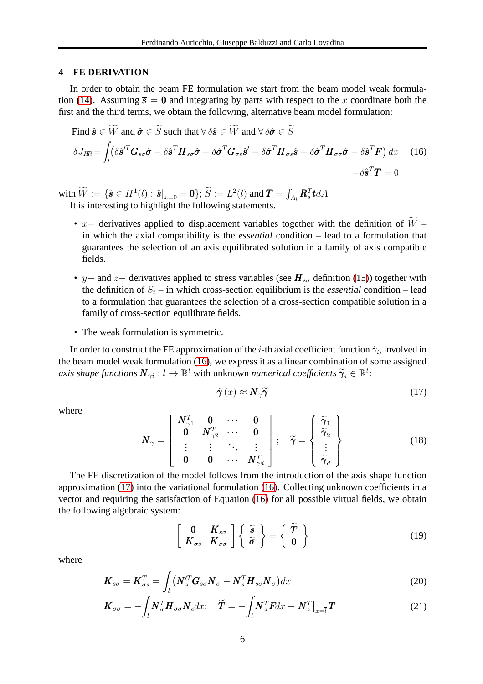#### <span id="page-5-2"></span>**4 FE DERIVATION**

In order to obtain the beam FE formulation we start from the beam model weak formula-tion [\(14\)](#page-4-0). Assuming  $\bar{s} = 0$  and integrating by parts with respect to the x coordinate both the first and the third terms, we obtain the following, alternative beam model formulation:

<span id="page-5-0"></span>Find 
$$
\hat{\mathbf{s}} \in \widetilde{W}
$$
 and  $\hat{\sigma} \in \widetilde{S}$  such that  $\forall \delta \hat{\mathbf{s}} \in \widetilde{W}$  and  $\forall \delta \hat{\sigma} \in \widetilde{S}$   
\n
$$
\delta J_{HR} = \int_{l} (\delta \hat{\mathbf{s}}'^{T} \mathbf{G}_{s\sigma} \hat{\sigma} - \delta \hat{\mathbf{s}}^{T} \mathbf{H}_{s\sigma} \hat{\sigma} + \delta \hat{\sigma}^{T} \mathbf{G}_{\sigma s} \hat{\mathbf{s}}' - \delta \hat{\sigma}^{T} \mathbf{H}_{\sigma s} \hat{\mathbf{s}} - \delta \hat{\sigma}^{T} \mathbf{H}_{\sigma \sigma} \hat{\sigma} - \delta \hat{\mathbf{s}}^{T} \mathbf{F}) dx
$$
\n(16)  
\n
$$
-\delta \hat{\mathbf{s}}^{T} \mathbf{T} = 0
$$

with  $\widetilde{W}:=\{\hat{\bm{s}}\in H^1(l):\hat{\bm{s}}|_{x=0}=\bm{0}\};$   $\widetilde{S}:=L^2(l)$  and  $\bm{T}=\int_{A_l}\bm{R}_s^T\bm{t}dA$ It is interesting to highlight the following statements.

- x– derivatives applied to displacement variables together with the definition of  $\widetilde{W}$  in which the axial compatibility is the *essential* condition – lead to a formulation that guarantees the selection of an axis equilibrated solution in a family of axis compatible fields.
- y– and z– derivatives applied to stress variables (see  $H_{s\sigma}$  definition [\(15\)](#page-4-1)) together with the definition of  $S_t$  – in which cross-section equilibrium is the *essential* condition – lead to a formulation that guarantees the selection of a cross-section compatible solution in a family of cross-section equilibrate fields.
- The weak formulation is symmetric.

In order to construct the FE approximation of the *i*-th axial coefficient function  $\hat{\gamma}_i$ , involved in the beam model weak formulation [\(16\)](#page-5-0), we express it as a linear combination of some assigned axis shape functions  $\pmb N_{\gamma i}:l\to\mathbb{R}^t$  with unknown *numerical coefficients*  $\widetilde{\pmb{\gamma}}_i\in\mathbb{R}^t$ :

<span id="page-5-1"></span>
$$
\hat{\boldsymbol{\gamma}}\left(x\right) \approx \boldsymbol{N}_{\gamma}\tilde{\boldsymbol{\gamma}}\tag{17}
$$

where

$$
\boldsymbol{N}_{\gamma} = \begin{bmatrix} \boldsymbol{N}_{\gamma 1}^T & \boldsymbol{0} & \cdots & \boldsymbol{0} \\ \boldsymbol{0} & \boldsymbol{N}_{\gamma 2}^T & \cdots & \boldsymbol{0} \\ \vdots & \vdots & \ddots & \vdots \\ \boldsymbol{0} & \boldsymbol{0} & \cdots & \boldsymbol{N}_{\gamma d}^T \end{bmatrix}; \quad \widetilde{\boldsymbol{\gamma}} = \begin{Bmatrix} \widetilde{\gamma}_1 \\ \widetilde{\gamma}_2 \\ \vdots \\ \widetilde{\gamma}_d \end{Bmatrix}
$$
(18)

The FE discretization of the model follows from the introduction of the axis shape function approximation [\(17\)](#page-5-1) into the variational formulation [\(16\)](#page-5-0). Collecting unknown coefficients in a vector and requiring the satisfaction of Equation [\(16\)](#page-5-0) for all possible virtual fields, we obtain the following algebraic system:

$$
\left[\begin{array}{cc} 0 & K_{s\sigma} \\ K_{\sigma s} & K_{\sigma\sigma} \end{array}\right] \left\{\begin{array}{c} \widetilde{s} \\ \widetilde{\sigma} \end{array}\right\} = \left\{\begin{array}{c} \widetilde{T} \\ 0 \end{array}\right\} \tag{19}
$$

where

$$
\boldsymbol{K}_{s\sigma} = \boldsymbol{K}_{\sigma s}^T = \int_l \left( \boldsymbol{N}_s^{\prime T} \boldsymbol{G}_{s\sigma} \boldsymbol{N}_{\sigma} - \boldsymbol{N}_s^T \boldsymbol{H}_{s\sigma} \boldsymbol{N}_{\sigma} \right) dx
$$
\n(20)

$$
\boldsymbol{K}_{\sigma\sigma} = -\int_{l} \boldsymbol{N}_{\sigma}^{T} \boldsymbol{H}_{\sigma\sigma} \boldsymbol{N}_{\sigma} dx; \quad \widetilde{\boldsymbol{T}} = -\int_{l} \boldsymbol{N}_{s}^{T} \boldsymbol{F} dx - \boldsymbol{N}_{s}^{T} \big|_{x=\overline{l}} \boldsymbol{T}
$$
\n(21)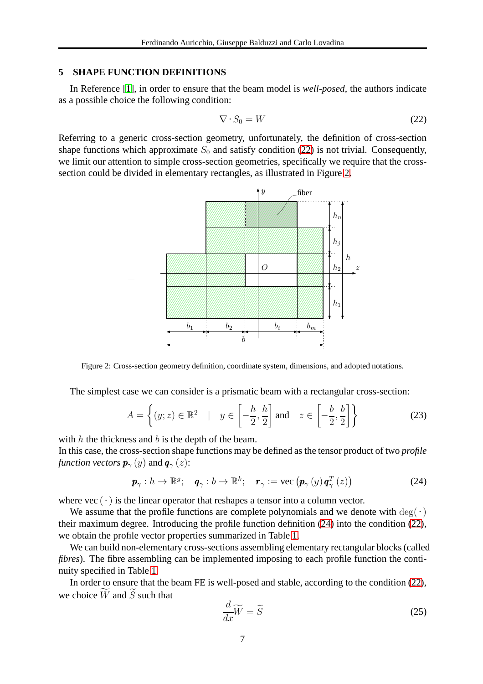## **5 SHAPE FUNCTION DEFINITIONS**

In Reference [\[1\]](#page-10-7), in order to ensure that the beam model is *well-posed*, the authors indicate as a possible choice the following condition:

<span id="page-6-0"></span>
$$
\nabla \cdot S_0 = W \tag{22}
$$

Referring to a generic cross-section geometry, unfortunately, the definition of cross-section shape functions which approximate  $S_0$  and satisfy condition [\(22\)](#page-6-0) is not trivial. Consequently, we limit our attention to simple cross-section geometries, specifically we require that the crosssection could be divided in elementary rectangles, as illustrated in Figure [2.](#page-6-1)



<span id="page-6-1"></span>Figure 2: Cross-section geometry definition, coordinate system, dimensions, and adopted notations.

The simplest case we can consider is a prismatic beam with a rectangular cross-section:

$$
A = \left\{ (y; z) \in \mathbb{R}^2 \mid y \in \left[ -\frac{h}{2}, \frac{h}{2} \right] \text{ and } z \in \left[ -\frac{b}{2}, \frac{b}{2} \right] \right\}
$$
(23)

with  $h$  the thickness and  $b$  is the depth of the beam.

In this case, the cross-section shape functions may be defined as the tensor product of two *profile function vectors*  $\mathbf{p}_{\gamma}(y)$  and  $\mathbf{q}_{\gamma}(z)$ :

<span id="page-6-2"></span>
$$
\boldsymbol{p}_{\gamma}: h \to \mathbb{R}^{g}; \quad \boldsymbol{q}_{\gamma}: b \to \mathbb{R}^{k}; \quad \boldsymbol{r}_{\gamma} := \text{vec}\left(\boldsymbol{p}_{\gamma}\left(y\right)\boldsymbol{q}_{\gamma}^{T}\left(z\right)\right) \tag{24}
$$

where vec  $(\cdot)$  is the linear operator that reshapes a tensor into a column vector.

We assume that the profile functions are complete polynomials and we denote with  $\deg(\cdot)$ their maximum degree. Introducing the profile function definition [\(24\)](#page-6-2) into the condition [\(22\)](#page-6-0), we obtain the profile vector properties summarized in Table [1.](#page-7-0)

We can build non-elementary cross-sections assembling elementary rectangular blocks (called *fibres*). The fibre assembling can be implemented imposing to each profile function the continuity specified in Table [1.](#page-7-0)

In order to ensure that the beam FE is well-posed and stable, according to the condition [\(22\)](#page-6-0), we choice  $\widetilde{W}$  and  $\widetilde{S}$  such that

<span id="page-6-3"></span>
$$
\frac{d}{dx}\widetilde{W} = \widetilde{S} \tag{25}
$$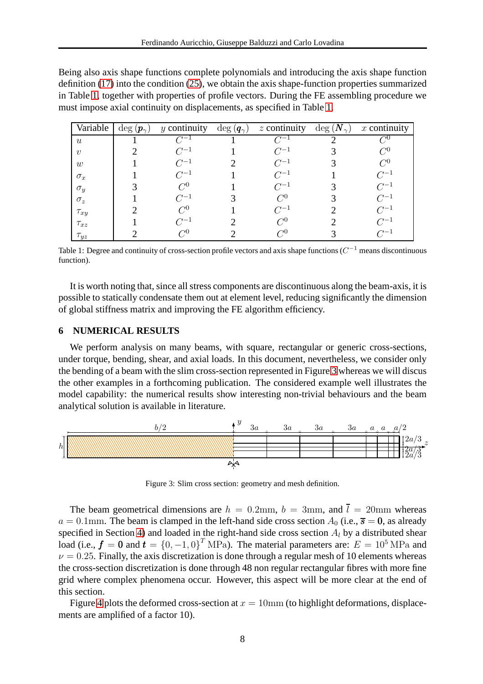Being also axis shape functions complete polynomials and introducing the axis shape function definition [\(17\)](#page-5-1) into the condition [\(25\)](#page-6-3), we obtain the axis shape-function properties summarized in Table [1,](#page-7-0) together with properties of profile vectors. During the FE assembling procedure we must impose axial continuity on displacements, as specified in Table [1.](#page-7-0)

| Variable         | $\deg\left(\boldsymbol{p}_{\gamma}\right)$ | $y$ continuity | $\deg\left(\boldsymbol{q}_{\gamma}\right)$ | $z$ continuity  | $\deg$ $(N_{\gamma})$ | $x$ continuity       |
|------------------|--------------------------------------------|----------------|--------------------------------------------|-----------------|-----------------------|----------------------|
| $\boldsymbol{u}$ |                                            |                |                                            | $\gamma-1$      |                       | $\curvearrowright 0$ |
| $\boldsymbol{v}$ |                                            | $C^{-1}$       |                                            | $C^{-1}$        |                       | $C^0$                |
| w                |                                            | $C^{-1}$       |                                            | $C^{-1}$        |                       | $C^{0}$              |
| $\sigma_x$       |                                            | $C^{-1}$       |                                            | $C^{-1}$        |                       | $C^{-1}$             |
| $\sigma_y$       |                                            | $C^0$          |                                            | $C^{-1}$        |                       | $C^{-1}$             |
| $\sigma_z$       |                                            | $C^{-1}$       |                                            | $\mathcal{C}^0$ |                       | $C^{-1}$             |
| $\tau_{xy}$      |                                            | $C^{0}$        |                                            | $C^{-1}$        |                       | $C^{-1}$             |
| $\tau_{xz}$      |                                            | $C^{-1}$       |                                            | $C^{0}$         |                       | $C^{-1}$             |
| $\tau_{yz}$      |                                            | $C^0$          |                                            | $C^{0}$         |                       | $C^{-1}$             |

<span id="page-7-0"></span>Table 1: Degree and continuity of cross-section profile vectors and axis shape functions ( $C^{-1}$  means discontinuous function).

It is worth noting that, since all stress components are discontinuous along the beam-axis, it is possible to statically condensate them out at element level, reducing significantly the dimension of global stiffness matrix and improving the FE algorithm efficiency.

### <span id="page-7-2"></span>**6 NUMERICAL RESULTS**

We perform analysis on many beams, with square, rectangular or generic cross-sections, under torque, bending, shear, and axial loads. In this document, nevertheless, we consider only the bending of a beam with the slim cross-section represented in Figure [3](#page-7-1) whereas we will discus the other examples in a forthcoming publication. The considered example well illustrates the model capability: the numerical results show interesting non-trivial behaviours and the beam analytical solution is available in literature.



<span id="page-7-1"></span>Figure 3: Slim cross section: geometry and mesh definition.

The beam geometrical dimensions are  $h = 0.2$ mm,  $b = 3$ mm, and  $\bar{l} = 20$ mm whereas  $a = 0.1$ mm. The beam is clamped in the left-hand side cross section  $A_0$  (i.e.,  $\overline{s} = 0$ , as already specified in Section [4\)](#page-5-2) and loaded in the right-hand side cross section  $A_l$  by a distributed shear load (i.e.,  $f = 0$  and  $t = \{0, -1, 0\}^T$  MPa). The material parameters are:  $E = 10^5$  MPa and  $\nu = 0.25$ . Finally, the axis discretization is done through a regular mesh of 10 elements whereas the cross-section discretization is done through 48 non regular rectangular fibres with more fine grid where complex phenomena occur. However, this aspect will be more clear at the end of this section.

Figure [4](#page-8-0) plots the deformed cross-section at  $x = 10$ mm (to highlight deformations, displacements are amplified of a factor 10).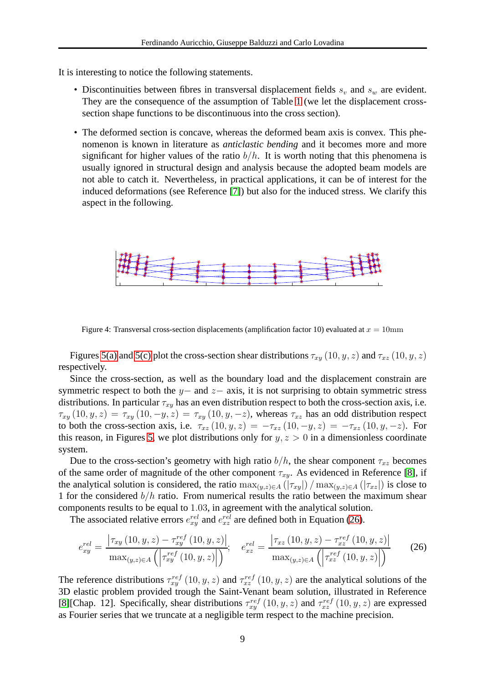It is interesting to notice the following statements.

- Discontinuities between fibres in transversal displacement fields  $s_v$  and  $s_w$  are evident. They are the consequence of the assumption of Table [1](#page-7-0) (we let the displacement crosssection shape functions to be discontinuous into the cross section).
- The deformed section is concave, whereas the deformed beam axis is convex. This phenomenon is known in literature as *anticlastic bending* and it becomes more and more significant for higher values of the ratio  $b/h$ . It is worth noting that this phenomena is usually ignored in structural design and analysis because the adopted beam models are not able to catch it. Nevertheless, in practical applications, it can be of interest for the induced deformations (see Reference [\[7\]](#page-10-8)) but also for the induced stress. We clarify this aspect in the following.



<span id="page-8-0"></span>Figure 4: Transversal cross-section displacements (amplification factor 10) evaluated at  $x = 10$ mm

Figures [5\(a\)](#page-9-0) and [5\(c\)](#page-9-1) plot the cross-section shear distributions  $\tau_{xy}$  (10, y, z) and  $\tau_{xz}$  (10, y, z) respectively.

Since the cross-section, as well as the boundary load and the displacement constrain are symmetric respect to both the y– and  $z-$  axis, it is not surprising to obtain symmetric stress distributions. In particular  $\tau_{xy}$  has an even distribution respect to both the cross-section axis, i.e.  $\tau_{xy}(10, y, z) = \tau_{xy}(10, -y, z) = \tau_{xy}(10, y, -z)$ , whereas  $\tau_{xz}$  has an odd distribution respect to both the cross-section axis, i.e.  $\tau_{xz} (10, y, z) = -\tau_{xz} (10, -y, z) = -\tau_{xz} (10, y, -z)$ . For this reason, in Figures [5,](#page-9-2) we plot distributions only for  $y, z > 0$  in a dimensionless coordinate system.

Due to the cross-section's geometry with high ratio  $b/h$ , the shear component  $\tau_{xz}$  becomes of the same order of magnitude of the other component  $\tau_{xy}$ . As evidenced in Reference [\[8\]](#page-10-9), if the analytical solution is considered, the ratio  $\max_{(y,z)\in A}(|\tau_{xy}|)/\max_{(y,z)\in A}(|\tau_{xz}|)$  is close to 1 for the considered  $b/h$  ratio. From numerical results the ratio between the maximum shear components results to be equal to 1.03, in agreement with the analytical solution.

The associated relative errors  $e_{xy}^{rel}$  and  $e_{xz}^{rel}$  are defined both in Equation [\(26\)](#page-8-1).

<span id="page-8-1"></span>
$$
e_{xy}^{rel} = \frac{|\tau_{xy}(10, y, z) - \tau_{xy}^{ref}(10, y, z)|}{\max_{(y, z) \in A} \left( \left| \tau_{xy}^{ref}(10, y, z) \right| \right)}, \quad e_{xz}^{rel} = \frac{|\tau_{xz}(10, y, z) - \tau_{xz}^{ref}(10, y, z)|}{\max_{(y, z) \in A} \left( \left| \tau_{xz}^{ref}(10, y, z) \right| \right)} \tag{26}
$$

The reference distributions  $\tau_{xy}^{ref}(10, y, z)$  and  $\tau_{xz}^{ref}(10, y, z)$  are the analytical solutions of the 3D elastic problem provided trough the Saint-Venant beam solution, illustrated in Reference [\[8\]](#page-10-9)[Chap. 12]. Specifically, shear distributions  $\tau_{xy}^{ref}(10, y, z)$  and  $\tau_{xz}^{ref}(10, y, z)$  are expressed as Fourier series that we truncate at a negligible term respect to the machine precision.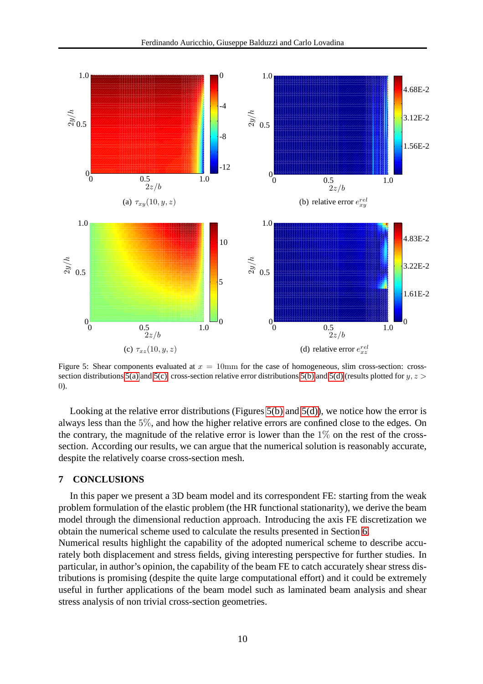<span id="page-9-3"></span><span id="page-9-0"></span>

<span id="page-9-4"></span><span id="page-9-2"></span><span id="page-9-1"></span>Figure 5: Shear components evaluated at  $x = 10$ mm for the case of homogeneous, slim cross-section: cross-section distributions [5\(a\)](#page-9-0) and [5\(c\),](#page-9-1) cross-section relative error distributions [5\(b\)](#page-9-3) and [5\(d\)](#page-9-4) (results plotted for  $y, z >$ 0).

Looking at the relative error distributions (Figures  $5(b)$  and  $5(d)$ ), we notice how the error is always less than the 5%, and how the higher relative errors are confined close to the edges. On the contrary, the magnitude of the relative error is lower than the  $1\%$  on the rest of the crosssection. According our results, we can argue that the numerical solution is reasonably accurate, despite the relatively coarse cross-section mesh.

#### **7 CONCLUSIONS**

In this paper we present a 3D beam model and its correspondent FE: starting from the weak problem formulation of the elastic problem (the HR functional stationarity), we derive the beam model through the dimensional reduction approach. Introducing the axis FE discretization we obtain the numerical scheme used to calculate the results presented in Section [6.](#page-7-2)

Numerical results highlight the capability of the adopted numerical scheme to describe accurately both displacement and stress fields, giving interesting perspective for further studies. In particular, in author's opinion, the capability of the beam FE to catch accurately shear stress distributions is promising (despite the quite large computational effort) and it could be extremely useful in further applications of the beam model such as laminated beam analysis and shear stress analysis of non trivial cross-section geometries.